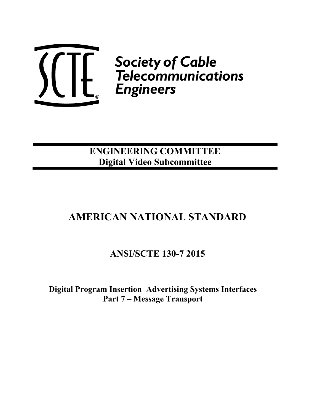

**ENGINEERING COMMITTEE Digital Video Subcommittee** 

# **AMERICAN NATIONAL STANDARD**

**ANSI/SCTE 130-7 2015** 

**Digital Program Insertion–Advertising Systems Interfaces Part 7 – Message Transport**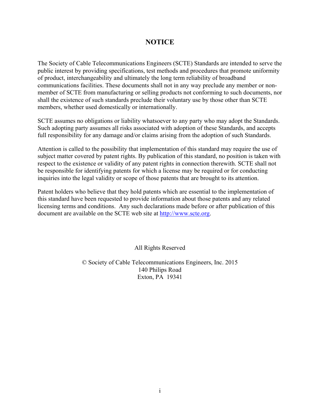## **NOTICE**

The Society of Cable Telecommunications Engineers (SCTE) Standards are intended to serve the public interest by providing specifications, test methods and procedures that promote uniformity of product, interchangeability and ultimately the long term reliability of broadband communications facilities. These documents shall not in any way preclude any member or nonmember of SCTE from manufacturing or selling products not conforming to such documents, nor shall the existence of such standards preclude their voluntary use by those other than SCTE members, whether used domestically or internationally.

SCTE assumes no obligations or liability whatsoever to any party who may adopt the Standards. Such adopting party assumes all risks associated with adoption of these Standards, and accepts full responsibility for any damage and/or claims arising from the adoption of such Standards.

Attention is called to the possibility that implementation of this standard may require the use of subject matter covered by patent rights. By publication of this standard, no position is taken with respect to the existence or validity of any patent rights in connection therewith. SCTE shall not be responsible for identifying patents for which a license may be required or for conducting inquiries into the legal validity or scope of those patents that are brought to its attention.

Patent holders who believe that they hold patents which are essential to the implementation of this standard have been requested to provide information about those patents and any related licensing terms and conditions. Any such declarations made before or after publication of this document are available on the SCTE web site at http://www.scte.org.

All Rights Reserved

© Society of Cable Telecommunications Engineers, Inc. 2015 140 Philips Road Exton, PA 19341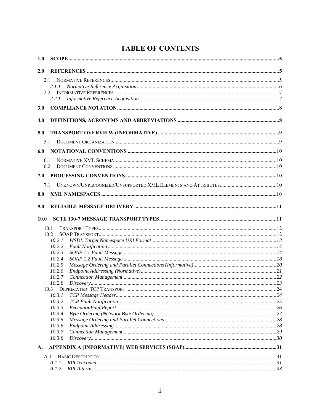| <b>TABLE OF CONTENTS</b> |  |
|--------------------------|--|
|--------------------------|--|

| 2.1    |                                                                                                                                          |
|--------|------------------------------------------------------------------------------------------------------------------------------------------|
| 2.1.1  |                                                                                                                                          |
| 2.2    |                                                                                                                                          |
| 2.2.1  |                                                                                                                                          |
|        |                                                                                                                                          |
|        |                                                                                                                                          |
|        |                                                                                                                                          |
| 5.1    |                                                                                                                                          |
|        |                                                                                                                                          |
| 6.1    |                                                                                                                                          |
| 6.2    |                                                                                                                                          |
|        |                                                                                                                                          |
| 7.1    |                                                                                                                                          |
|        |                                                                                                                                          |
|        |                                                                                                                                          |
|        |                                                                                                                                          |
| 10.0   |                                                                                                                                          |
| 10.1   |                                                                                                                                          |
| 10.2   |                                                                                                                                          |
| 10.2.1 |                                                                                                                                          |
|        |                                                                                                                                          |
|        |                                                                                                                                          |
|        |                                                                                                                                          |
|        |                                                                                                                                          |
|        |                                                                                                                                          |
|        |                                                                                                                                          |
|        |                                                                                                                                          |
|        |                                                                                                                                          |
|        |                                                                                                                                          |
|        |                                                                                                                                          |
|        |                                                                                                                                          |
|        |                                                                                                                                          |
|        |                                                                                                                                          |
|        |                                                                                                                                          |
|        |                                                                                                                                          |
| 10.3.8 |                                                                                                                                          |
|        |                                                                                                                                          |
| A.1    |                                                                                                                                          |
| A.I.I  |                                                                                                                                          |
|        | 10.2.2<br>10.2.3<br>10.2.4<br>10.2.5<br>10.2.6<br>10.2.7<br>10.2.8<br>10.3.1<br>10.3.2<br>10.3.3<br>10.3.4<br>10.3.5<br>10.3.6<br>10.3.7 |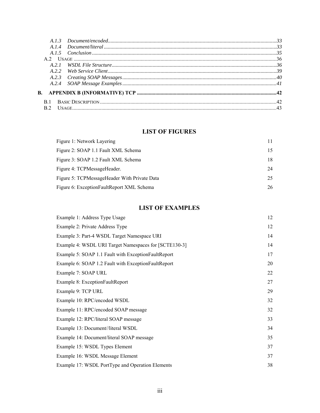## **LIST OF FIGURES**

| Figure 1: Network Layering                   | 11 |
|----------------------------------------------|----|
| Figure 2: SOAP 1.1 Fault XML Schema          | 15 |
| Figure 3: SOAP 1.2 Fault XML Schema          | 18 |
| Figure 4: TCPMessageHeader.                  | 24 |
| Figure 5: TCPMessageHeader With Private Data | 25 |
| Figure 6: ExceptionFaultReport XML Schema    | 26 |
|                                              |    |

## **LIST OF EXAMPLES**

| Example 1: Address Type Usage                         | 12 |
|-------------------------------------------------------|----|
| Example 2: Private Address Type                       | 12 |
| Example 3: Part-4 WSDL Target Namespace URI           | 14 |
| Example 4: WSDL URI Target Namespaces for [SCTE130-3] | 14 |
| Example 5: SOAP 1.1 Fault with ExceptionFaultReport   | 17 |
| Example 6: SOAP 1.2 Fault with ExceptionFaultReport   | 20 |
| Example 7: SOAP URL                                   | 22 |
| Example 8: ExceptionFaultReport                       | 27 |
| Example 9: TCP URL                                    | 29 |
| Example 10: RPC/encoded WSDL                          | 32 |
| Example 11: RPC/encoded SOAP message                  | 32 |
| Example 12: RPC/literal SOAP message                  | 33 |
| Example 13: Document//literal WSDL                    | 34 |
| Example 14: Document/literal SOAP message             | 35 |
| Example 15: WSDL Types Element                        | 37 |
| Example 16: WSDL Message Element                      | 37 |
| Example 17: WSDL PortType and Operation Elements      | 38 |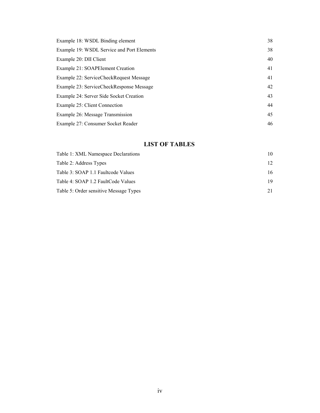| Example 18: WSDL Binding element           | 38 |
|--------------------------------------------|----|
| Example 19: WSDL Service and Port Elements | 38 |
| Example 20: DII Client                     | 40 |
| Example 21: SOAPE lement Creation          | 41 |
| Example 22: ServiceCheckRequest Message    | 41 |
| Example 23: ServiceCheckResponse Message   | 42 |
| Example 24: Server Side Socket Creation    | 43 |
| Example 25: Client Connection              | 44 |
| Example 26: Message Transmission           | 45 |
| Example 27: Consumer Socket Reader         | 46 |

## **LIST OF TABLES**

| Table 1: XML Namespace Declarations    | 10              |
|----------------------------------------|-----------------|
| Table 2: Address Types                 | 12 <sup>2</sup> |
| Table 3: SOAP 1.1 Faultcode Values     | 16              |
| Table 4: SOAP 1.2 FaultCode Values     | 19              |
| Table 5: Order sensitive Message Types |                 |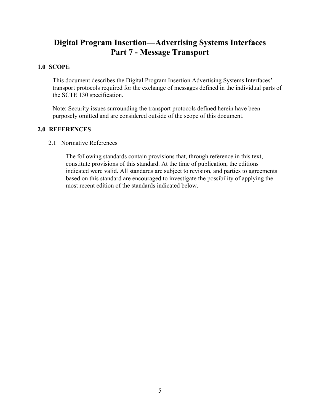## **Digital Program Insertion—Advertising Systems Interfaces Part 7 - Message Transport**

## **1.0 SCOPE**

This document describes the Digital Program Insertion Advertising Systems Interfaces' transport protocols required for the exchange of messages defined in the individual parts of the SCTE 130 specification.

Note: Security issues surrounding the transport protocols defined herein have been purposely omitted and are considered outside of the scope of this document.

## **2.0 REFERENCES**

2.1 Normative References

The following standards contain provisions that, through reference in this text, constitute provisions of this standard. At the time of publication, the editions indicated were valid. All standards are subject to revision, and parties to agreements based on this standard are encouraged to investigate the possibility of applying the most recent edition of the standards indicated below.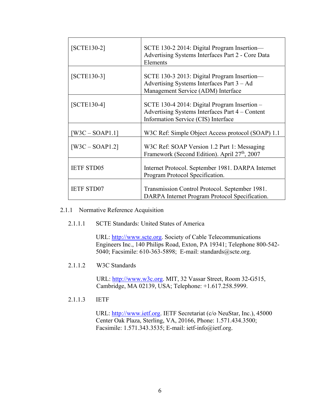| $[SCTE130-2]$     | SCTE 130-2 2014: Digital Program Insertion-<br>Advertising Systems Interfaces Part 2 - Core Data<br>Elements                           |
|-------------------|----------------------------------------------------------------------------------------------------------------------------------------|
| $[SCTE130-3]$     | SCTE 130-3 2013: Digital Program Insertion—<br>Advertising Systems Interfaces Part $3 - Ad$<br>Management Service (ADM) Interface      |
| $[SCTE130-4]$     | SCTE 130-4 2014: Digital Program Insertion -<br>Advertising Systems Interfaces Part 4 – Content<br>Information Service (CIS) Interface |
| $W3C - SOAP1.1$   | W3C Ref: Simple Object Access protocol (SOAP) 1.1                                                                                      |
| $[W3C - SOAP1.2]$ | W3C Ref: SOAP Version 1.2 Part 1: Messaging<br>Framework (Second Edition). April 27 <sup>th</sup> , 2007                               |
| <b>IETF STD05</b> | Internet Protocol. September 1981. DARPA Internet<br>Program Protocol Specification.                                                   |
| <b>IETF STD07</b> | Transmission Control Protocol. September 1981.<br>DARPA Internet Program Protocol Specification.                                       |

#### 2.1.1 Normative Reference Acquisition

#### 2.1.1.1 SCTE Standards: United States of America

URL: http://www.scte.org. Society of Cable Telecommunications Engineers Inc., 140 Philips Road, Exton, PA 19341; Telephone 800-542- 5040; Facsimile: 610-363-5898; E-mail: standards@scte.org.

2.1.1.2 W3C Standards

URL: http://www.w3c.org. MIT, 32 Vassar Street, Room 32-G515, Cambridge, MA 02139, USA; Telephone: +1.617.258.5999.

2.1.1.3 IETF

URL: http://www.ietf.org. IETF Secretariat (c/o NeuStar, Inc.), 45000 Center Oak Plaza, Sterling, VA, 20166, Phone: 1.571.434.3500; Facsimile: 1.571.343.3535; E-mail: ietf-info@ietf.org.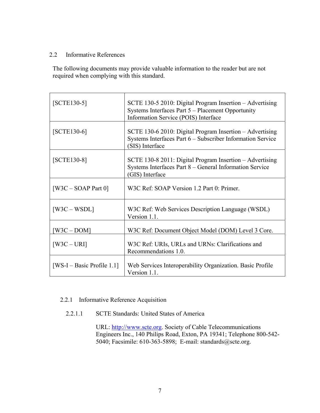## 2.2 Informative References

The following documents may provide valuable information to the reader but are not required when complying with this standard.

| $[SCTE130-5]$                | SCTE 130-5 2010: Digital Program Insertion - Advertising<br>Systems Interfaces Part 5 – Placement Opportunity<br>Information Service (POIS) Interface |
|------------------------------|-------------------------------------------------------------------------------------------------------------------------------------------------------|
| $[SCTE130-6]$                | SCTE 130-6 2010: Digital Program Insertion - Advertising<br>Systems Interfaces Part 6 - Subscriber Information Service<br>(SIS) Interface             |
| $[SCTE130-8]$                | SCTE 130-8 2011: Digital Program Insertion - Advertising<br>Systems Interfaces Part 8 - General Information Service<br>(GIS) Interface                |
| $[W3C - SOAP$ Part 0]        | W3C Ref: SOAP Version 1.2 Part 0: Primer.                                                                                                             |
| $[W3C-WSDL]$                 | W3C Ref: Web Services Description Language (WSDL)<br>Version 1.1.                                                                                     |
| $[W3C - DOM]$                | W3C Ref: Document Object Model (DOM) Level 3 Core.                                                                                                    |
| $[W3C - URI]$                | W3C Ref: URIs, URLs and URNs: Clarifications and<br>Recommendations 1.0.                                                                              |
| $[WS-I - Basic Profile 1.1]$ | Web Services Interoperability Organization. Basic Profile<br>Version 1.1.                                                                             |

## 2.2.1 Informative Reference Acquisition

## 2.2.1.1 SCTE Standards: United States of America

URL: http://www.scte.org. Society of Cable Telecommunications Engineers Inc., 140 Philips Road, Exton, PA 19341; Telephone 800-542- 5040; Facsimile: 610-363-5898; E-mail: standards@scte.org.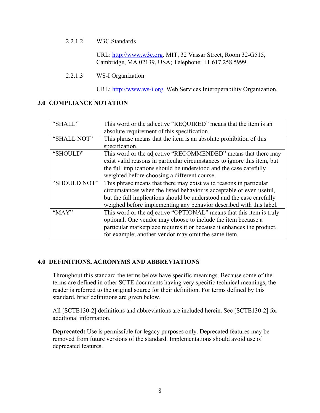#### 2.2.1.2 W3C Standards

URL: http://www.w3c.org. MIT, 32 Vassar Street, Room 32-G515, Cambridge, MA 02139, USA; Telephone: +1.617.258.5999.

2.2.1.3 WS-I Organization

URL: http://www.ws-i.org. Web Services Interoperability Organization.

## **3.0 COMPLIANCE NOTATION**

| "SHALL"      | This word or the adjective "REQUIRED" means that the item is an          |  |
|--------------|--------------------------------------------------------------------------|--|
|              | absolute requirement of this specification.                              |  |
| "SHALL NOT"  | This phrase means that the item is an absolute prohibition of this       |  |
|              | specification.                                                           |  |
| "SHOULD"     | This word or the adjective "RECOMMENDED" means that there may            |  |
|              | exist valid reasons in particular circumstances to ignore this item, but |  |
|              | the full implications should be understood and the case carefully        |  |
|              | weighted before choosing a different course.                             |  |
| "SHOULD NOT" | This phrase means that there may exist valid reasons in particular       |  |
|              | circumstances when the listed behavior is acceptable or even useful,     |  |
|              | but the full implications should be understood and the case carefully    |  |
|              | weighed before implementing any behavior described with this label.      |  |
| " $MAX"$     | This word or the adjective "OPTIONAL" means that this item is truly      |  |
|              | optional. One vendor may choose to include the item because a            |  |
|              | particular marketplace requires it or because it enhances the product,   |  |
|              | for example; another vendor may omit the same item.                      |  |

## **4.0 DEFINITIONS, ACRONYMS AND ABBREVIATIONS**

Throughout this standard the terms below have specific meanings. Because some of the terms are defined in other SCTE documents having very specific technical meanings, the reader is referred to the original source for their definition. For terms defined by this standard, brief definitions are given below.

All [SCTE130-2] definitions and abbreviations are included herein. See [SCTE130-2] for additional information.

**Deprecated:** Use is permissible for legacy purposes only. Deprecated features may be removed from future versions of the standard. Implementations should avoid use of deprecated features.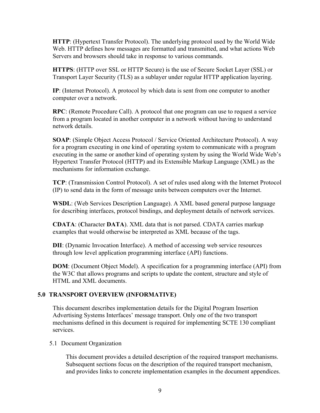**HTTP**: (Hypertext Transfer Protocol). The underlying protocol used by the World Wide Web. HTTP defines how messages are formatted and transmitted, and what actions Web Servers and browsers should take in response to various commands.

**HTTPS**: (HTTP over SSL or HTTP Secure) is the use of Secure Socket Layer (SSL) or Transport Layer Security (TLS) as a sublayer under regular HTTP application layering.

**IP**: (Internet Protocol). A protocol by which data is sent from one computer to another computer over a network.

**RPC**: (Remote Procedure Call). A protocol that one program can use to request a service from a program located in another computer in a network without having to understand network details.

**SOAP**: (Simple Object Access Protocol / Service Oriented Architecture Protocol). A way for a program executing in one kind of operating system to communicate with a program executing in the same or another kind of operating system by using the World Wide Web's Hypertext Transfer Protocol (HTTP) and its Extensible Markup Language (XML) as the mechanisms for information exchange.

**TCP**: (Transmission Control Protocol). A set of rules used along with the Internet Protocol (IP) to send data in the form of message units between computers over the Internet.

**WSDL**: (Web Services Description Language). A XML based general purpose language for describing interfaces, protocol bindings, and deployment details of network services.

**CDATA**: (**C**haracter **DATA**). XML data that is not parsed. CDATA carries markup examples that would otherwise be interpreted as XML because of the tags.

**DII**: (Dynamic Invocation Interface). A method of accessing web service resources through low level application programming interface (API) functions.

**DOM**: (Document Object Model). A specification for a programming interface (API) from the W3C that allows programs and scripts to update the content, structure and style of HTML and XML documents.

## **5.0 TRANSPORT OVERVIEW (INFORMATIVE)**

This document describes implementation details for the Digital Program Insertion Advertising Systems Interfaces' message transport. Only one of the two transport mechanisms defined in this document is required for implementing SCTE 130 compliant services.

## 5.1 Document Organization

This document provides a detailed description of the required transport mechanisms. Subsequent sections focus on the description of the required transport mechanism, and provides links to concrete implementation examples in the document appendices.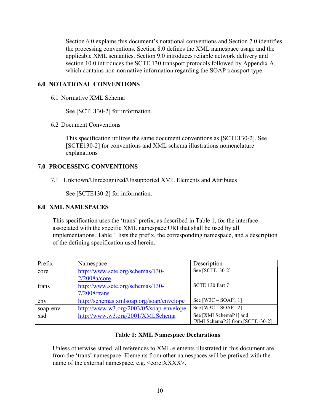Section 6.0 explains this document's notational conventions and Section 7.0 identifies the processing conventions. Section 8.0 defines the XML namespace usage and the applicable XML semantics. Section 9.0 introduces reliable network delivery and section 10.0 introduces the SCTE 130 transport protocols followed by Appendix A, which contains non-normative information regarding the SOAP transport type.

## **6.0 NOTATIONAL CONVENTIONS**

6.1 Normative XML Schema

See [SCTE130-2] for information.

6.2 Document Conventions

This specification utilizes the same document conventions as [SCTE130-2]. See [SCTE130-2] for conventions and XML schema illustrations nomenclature explanations

## **7.0 PROCESSING CONVENTIONS**

7.1 Unknown/Unrecognized/Unsupported XML Elements and Attributes

See [SCTE130-2] for information.

## **8.0 XML NAMESPACES**

This specification uses the 'trans' prefix, as described in Table 1, for the interface associated with the specific XML namespace URI that shall be used by all implementations. Table 1 lists the prefix, the corresponding namespace, and a description of the defining specification used herein.

| Prefix   | Namespace                                | Description                    |
|----------|------------------------------------------|--------------------------------|
| core     | http://www.scte.org/schemas/130-         | See [SCTE130-2]                |
|          | $2/2008a/c$ ore                          |                                |
| trans    | http://www.scte.org/schemas/130-         | SCTE 130 Part 7                |
|          | $7/2008$ /trans                          |                                |
| env      | http://schemas.xmlsoap.org/soap/envelope | See $[W3C - SOAP1.1]$          |
| soap-env | http://www.w3.org/2003/05/soap-envelope  | See $[W3C - SOAP1.2]$          |
| xsd      | http://www.w3.org/2001/XMLSchema         | See [XMLSchemaP1] and          |
|          |                                          | [XMLSchemaP2] from [SCTE130-2] |

## **Table 1: XML Namespace Declarations**

Unless otherwise stated, all references to XML elements illustrated in this document are from the 'trans' namespace. Elements from other namespaces will be prefixed with the name of the external namespace, e.g.  $\leq$ core: $XXX$ >.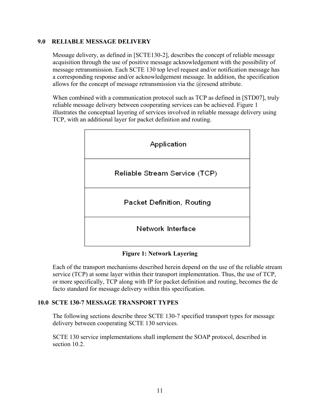## **9.0 RELIABLE MESSAGE DELIVERY**

Message delivery, as defined in [SCTE130-2], describes the concept of reliable message acquisition through the use of positive message acknowledgement with the possibility of message retransmission. Each SCTE 130 top level request and/or notification message has a corresponding response and/or acknowledgement message. In addition, the specification allows for the concept of message retransmission via the @resend attribute.

When combined with a communication protocol such as TCP as defined in [STD07], truly reliable message delivery between cooperating services can be achieved. Figure 1 illustrates the conceptual layering of services involved in reliable message delivery using TCP, with an additional layer for packet definition and routing.



## **Figure 1: Network Layering**

Each of the transport mechanisms described herein depend on the use of the reliable stream service (TCP) at some layer within their transport implementation. Thus, the use of TCP, or more specifically, TCP along with IP for packet definition and routing, becomes the de facto standard for message delivery within this specification.

## **10.0 SCTE 130-7 MESSAGE TRANSPORT TYPES**

The following sections describe three SCTE 130-7 specified transport types for message delivery between cooperating SCTE 130 services.

SCTE 130 service implementations shall implement the SOAP protocol, described in section 10.2.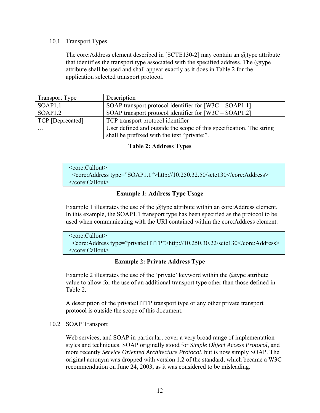#### 10.1 Transport Types

The core: Address element described in [SCTE130-2] may contain an  $\omega$  type attribute that identifies the transport type associated with the specified address. The  $@$ type attribute shall be used and shall appear exactly as it does in Table 2 for the application selected transport protocol.

| <b>Transport Type</b> | Description                                                          |  |
|-----------------------|----------------------------------------------------------------------|--|
| SOAP1.1               | SOAP transport protocol identifier for $[W3C - SOAP1.1]$             |  |
| SOAP1.2               | SOAP transport protocol identifier for $[W3C - SOAP1.2]$             |  |
| TCP [Deprecated]      | TCP transport protocol identifier                                    |  |
| $\cdots$              | User defined and outside the scope of this specification. The string |  |
|                       | shall be prefixed with the text "private:".                          |  |

## **Table 2: Address Types**

```
 <core:Callout> 
  <core:Address type="SOAP1.1">http://10.250.32.50/scte130</core:Address> 
 </core:Callout>
```
## **Example 1: Address Type Usage**

Example 1 illustrates the use of the  $@t$  type attribute within an core: Address element. In this example, the SOAP1.1 transport type has been specified as the protocol to be used when communicating with the URI contained within the core:Address element.

```
 <core:Callout> 
  <core:Address type="private:HTTP">http://10.250.30.22/scte130</core:Address> 
 </core:Callout>
```
## **Example 2: Private Address Type**

Example 2 illustrates the use of the 'private' keyword within the  $@$ type attribute value to allow for the use of an additional transport type other than those defined in Table 2.

A description of the private:HTTP transport type or any other private transport protocol is outside the scope of this document.

## 10.2 SOAP Transport

Web services, and SOAP in particular, cover a very broad range of implementation styles and techniques. SOAP originally stood for *Simple Object Access Protocol*, and more recently *Service Oriented Architecture Protocol*, but is now simply SOAP. The original acronym was dropped with version 1.2 of the standard, which became a W3C recommendation on June 24, 2003, as it was considered to be misleading.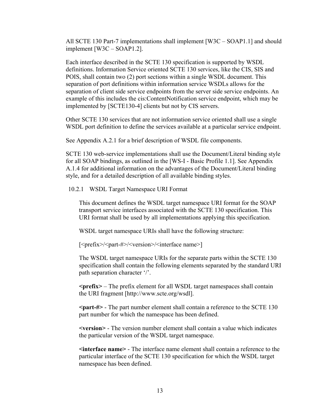All SCTE 130 Part-7 implementations shall implement [W3C – SOAP1.1] and should implement [W3C – SOAP1.2].

Each interface described in the SCTE 130 specification is supported by WSDL definitions. Information Service oriented SCTE 130 services, like the CIS, SIS and POIS, shall contain two (2) port sections within a single WSDL document. This separation of port definitions within information service WSDLs allows for the separation of client side service endpoints from the server side service endpoints. An example of this includes the cis:ContentNotification service endpoint, which may be implemented by [SCTE130-4] clients but not by CIS servers.

Other SCTE 130 services that are not information service oriented shall use a single WSDL port definition to define the services available at a particular service endpoint.

See Appendix A.2.1 for a brief description of WSDL file components.

SCTE 130 web-service implementations shall use the Document/Literal binding style for all SOAP bindings, as outlined in the [WS-I - Basic Profile 1.1]. See Appendix A.1.4 for additional information on the advantages of the Document/Literal binding style, and for a detailed description of all available binding styles.

10.2.1 WSDL Target Namespace URI Format

This document defines the WSDL target namespace URI format for the SOAP transport service interfaces associated with the SCTE 130 specification. This URI format shall be used by all implementations applying this specification.

WSDL target namespace URIs shall have the following structure:

[<prefix>/<part-#>/<version>/<interface name>]

The WSDL target namespace URIs for the separate parts within the SCTE 130 specification shall contain the following elements separated by the standard URI path separation character '/'.

**<prefix>** – The prefix element for all WSDL target namespaces shall contain the URI fragment [http://www.scte.org/wsdl].

**<part-#>** - The part number element shall contain a reference to the SCTE 130 part number for which the namespace has been defined.

**<version>** - The version number element shall contain a value which indicates the particular version of the WSDL target namespace.

**<interface name>** - The interface name element shall contain a reference to the particular interface of the SCTE 130 specification for which the WSDL target namespace has been defined.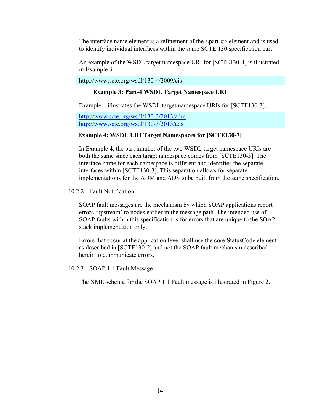The interface name element is a refinement of the  $\epsilon$  art-#> element and is used to identify individual interfaces within the same SCTE 130 specification part.

An example of the WSDL target namespace URI for [SCTE130-4] is illustrated in Example 3.

http://www.scte.org/wsdl/130-4/2009/cis

## **Example 3: Part-4 WSDL Target Namespace URI**

Example 4 illustrates the WSDL target namespace URIs for [SCTE130-3].

http://www.scte.org/wsdl/130-3/2013/adm http://www.scte.org/wsdl/130-3/2013/ads

## **Example 4: WSDL URI Target Namespaces for [SCTE130-3]**

In Example 4, the part number of the two WSDL target namespace URIs are both the same since each target namespace comes from [SCTE130-3]. The interface name for each namespace is different and identifies the separate interfaces within [SCTE130-3]. This separation allows for separate implementations for the ADM and ADS to be built from the same specification.

## 10.2.2 Fault Notification

SOAP fault messages are the mechanism by which SOAP applications report errors 'upstream' to nodes earlier in the message path. The intended use of SOAP faults within this specification is for errors that are unique to the SOAP stack implementation only.

Errors that occur at the application level shall use the core:StatusCode element as described in [SCTE130-2] and not the SOAP fault mechanism described herein to communicate errors.

10.2.3 SOAP 1.1 Fault Message

The XML schema for the SOAP 1.1 Fault message is illustrated in Figure 2.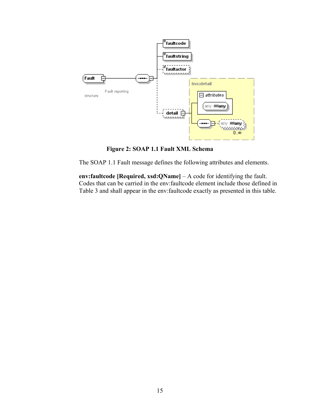

**Figure 2: SOAP 1.1 Fault XML Schema** 

The SOAP 1.1 Fault message defines the following attributes and elements.

**env:faultcode [Required, xsd:QName]** – A code for identifying the fault. Codes that can be carried in the env:faultcode element include those defined in Table 3 and shall appear in the env:faultcode exactly as presented in this table.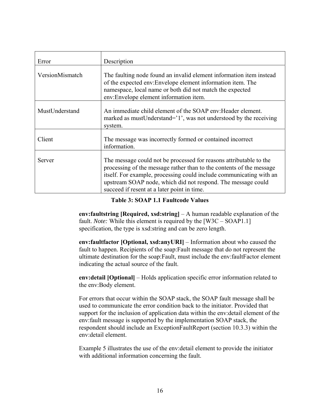| Error           | Description                                                                                                                                                                                                                                                                                                                      |
|-----------------|----------------------------------------------------------------------------------------------------------------------------------------------------------------------------------------------------------------------------------------------------------------------------------------------------------------------------------|
| VersionMismatch | The faulting node found an invalid element information item instead<br>of the expected env:Envelope element information item. The<br>namespace, local name or both did not match the expected<br>env:Envelope element information item.                                                                                          |
| MustUnderstand  | An immediate child element of the SOAP env: Header element.<br>marked as must Understand= $1$ , was not understood by the receiving<br>system.                                                                                                                                                                                   |
| Client          | The message was incorrectly formed or contained incorrect<br>information.                                                                                                                                                                                                                                                        |
| Server          | The message could not be processed for reasons attributable to the<br>processing of the message rather than to the contents of the message<br>itself. For example, processing could include communicating with an<br>upstream SOAP node, which did not respond. The message could<br>succeed if resent at a later point in time. |

**Table 3: SOAP 1.1 Faultcode Values** 

**env:faultstring [Required, xsd:string]** – A human readable explanation of the fault. *Note:* While this element is required by the [W3C – SOAP1.1] specification, the type is xsd:string and can be zero length.

**env:faultfactor [Optional, xsd:anyURI]** – Information about who caused the fault to happen. Recipients of the soap:Fault message that do not represent the ultimate destination for the soap:Fault, must include the env:faultFactor element indicating the actual source of the fault.

**env:detail [Optional]** – Holds application specific error information related to the env:Body element.

For errors that occur within the SOAP stack, the SOAP fault message shall be used to communicate the error condition back to the initiator. Provided that support for the inclusion of application data within the env:detail element of the env:fault message is supported by the implementation SOAP stack, the respondent should include an ExceptionFaultReport (section 10.3.3) within the env:detail element.

Example 5 illustrates the use of the env:detail element to provide the initiator with additional information concerning the fault.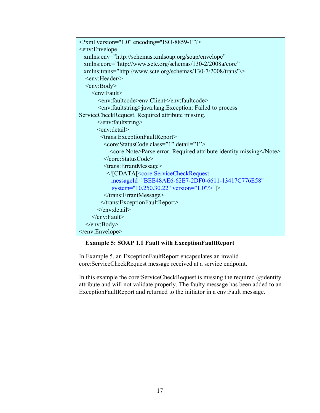```
\leq?xml version="1.0" encoding="ISO-8859-1"?>
<env:Envelope 
  xmlns:env="http://schemas.xmlsoap.org/soap/envelope" 
  xmlns:core="http://www.scte.org/schemas/130-2/2008a/core" 
  xmlns:trans="http://www.scte.org/schemas/130-7/2008/trans"/>
  <env:Header/>
   <env:Body> 
    <env:Fault>
        <env:faultcode>env:Client</env:faultcode> 
        <env:faultstring>java.lang.Exception: Failed to process 
ServiceCheckRequest. Required attribute missing. 
        </env:faultstring> 
       <env:detail>
         <trans:ExceptionFaultReport> 
          <core:StatusCode class="1" detail="1"> 
             <core:Note>Parse error. Required attribute identity missing</Note> 
          </core:StatusCode> 
          <trans:ErrantMessage> 
           <![CDATA[<core:ServiceCheckRequest 
             messageId="BEE48AE6-62E7-2DF0-6611-13417C776E58" 
             system="10.250.30.22" version="1.0"/>]]> 
          </trans:ErrantMessage> 
         </trans:ExceptionFaultReport> 
        </env:detail> 
    \le/env:Fault>
   </env:Body> 
</env:Envelope>
```
## **Example 5: SOAP 1.1 Fault with ExceptionFaultReport**

In Example 5, an ExceptionFaultReport encapsulates an invalid core:ServiceCheckRequest message received at a service endpoint.

In this example the core:ServiceCheckRequest is missing the required @identity attribute and will not validate properly. The faulty message has been added to an ExceptionFaultReport and returned to the initiator in a env:Fault message.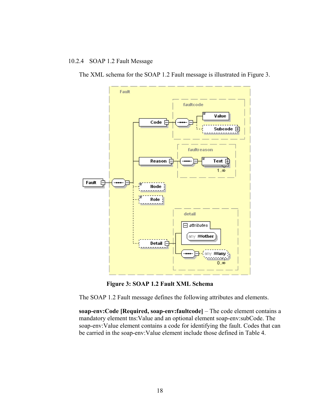## 10.2.4 SOAP 1.2 Fault Message

The XML schema for the SOAP 1.2 Fault message is illustrated in Figure 3.



**Figure 3: SOAP 1.2 Fault XML Schema** 

The SOAP 1.2 Fault message defines the following attributes and elements.

**soap-env:Code [Required, soap-env:faultcode]** – The code element contains a mandatory element tns:Value and an optional element soap-env:subCode. The soap-env:Value element contains a code for identifying the fault. Codes that can be carried in the soap-env:Value element include those defined in Table 4.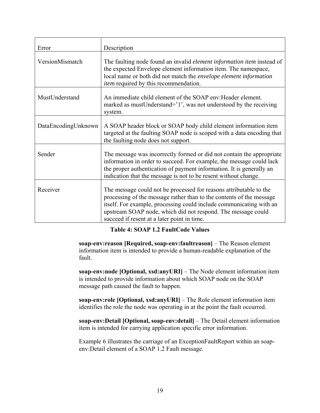| Error               | Description                                                                                                                                                                                                                                                                                                                      |
|---------------------|----------------------------------------------------------------------------------------------------------------------------------------------------------------------------------------------------------------------------------------------------------------------------------------------------------------------------------|
| VersionMismatch     | The faulting node found an invalid <i>element information item</i> instead of<br>the expected Envelope element information item. The namespace,<br>local name or both did not match the envelope element information<br><i>item</i> required by this recommendation.                                                             |
| MustUnderstand      | An immediate child element of the SOAP env: Header element.<br>marked as mustUnderstand='1', was not understood by the receiving<br>system.                                                                                                                                                                                      |
| DataEncodingUnknown | A SOAP header block or SOAP body child element information item<br>targeted at the faulting SOAP node is scoped with a data encoding that<br>the faulting node does not support.                                                                                                                                                 |
| Sender              | The message was incorrectly formed or did not contain the appropriate<br>information in order to succeed. For example, the message could lack<br>the proper authentication of payment information. It is generally an<br>indication that the message is not to be resent without change.                                         |
| Receiver            | The message could not be processed for reasons attributable to the<br>processing of the message rather than to the contents of the message<br>itself. For example, processing could include communicating with an<br>upstream SOAP node, which did not respond. The message could<br>succeed if resent at a later point in time. |

## **Table 4: SOAP 1.2 FaultCode Values**

**soap-env:reason [Required, soap-env:faultreason]** – The Reason element information item is intended to provide a human-readable explanation of the fault.

**soap-env:node [Optional, xsd:anyURI]** – The Node element information item is intended to provide information about which SOAP node on the SOAP message path caused the fault to happen.

**soap-env:role [Optional, xsd:anyURI]** – The Role element information item identifies the role the node was operating in at the point the fault occurred.

**soap-env:Detail [Optional, soap-env:detail]** – The Detail element information item is intended for carrying application specific error information.

Example 6 illustrates the carriage of an ExceptionFaultReport within an soapenv:Detail element of a SOAP 1.2 Fault message.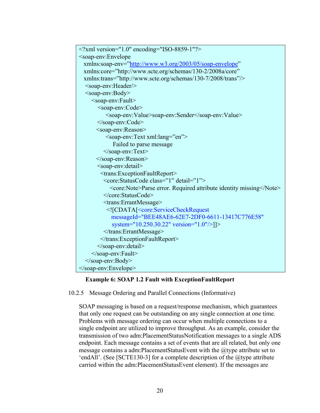

## **Example 6: SOAP 1.2 Fault with ExceptionFaultReport**

10.2.5 Message Ordering and Parallel Connections (Informative)

SOAP messaging is based on a request/response mechanism, which guarantees that only one request can be outstanding on any single connection at one time. Problems with message ordering can occur when multiple connections to a single endpoint are utilized to improve throughput. As an example, consider the transmission of two adm:PlacementStatusNotification messages to a single ADS endpoint. Each message contains a set of events that are all related, but only one message contains a adm: Placement Status Event with the @type attribute set to 'endAll'. (See [SCTE130-3] for a complete description of the @type attribute carried within the adm:PlacementStatusEvent element). If the messages are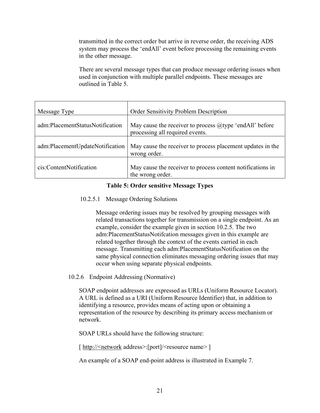transmitted in the correct order but arrive in reverse order, the receiving ADS system may process the 'endAll' event before processing the remaining events in the other message.

There are several message types that can produce message ordering issues when used in conjunction with multiple parallel endpoints. These messages are outlined in Table 5.

| Message Type                    | Order Sensitivity Problem Description                                                         |
|---------------------------------|-----------------------------------------------------------------------------------------------|
| adm:PlacementStatusNotification | May cause the receiver to process $@$ type 'endAll' before<br>processing all required events. |
| adm:PlacementUpdateNotification | May cause the receiver to process placement updates in the<br>wrong order.                    |
| cis:ContentNotification         | May cause the receiver to process content notifications in<br>the wrong order.                |

## **Table 5: Order sensitive Message Types**

#### 10.2.5.1 Message Ordering Solutions

Message ordering issues may be resolved by grouping messages with related transactions together for transmission on a single endpoint. As an example, consider the example given in section 10.2.5. The two adm:PlacementStatusNotifcation messages given in this example are related together through the context of the events carried in each message. Transmitting each adm:PlacementStatusNotification on the same physical connection eliminates messaging ordering issues that may occur when using separate physical endpoints.

## 10.2.6 Endpoint Addressing (Normative)

SOAP endpoint addresses are expressed as URLs (Uniform Resource Locator). A URL is defined as a URI (Uniform Resource Identifier) that, in addition to identifying a resource, provides means of acting upon or obtaining a representation of the resource by describing its primary access mechanism or network.

SOAP URLs should have the following structure:

[ http://<network address>:[port]/<resource name> ]

An example of a SOAP end-point address is illustrated in Example 7.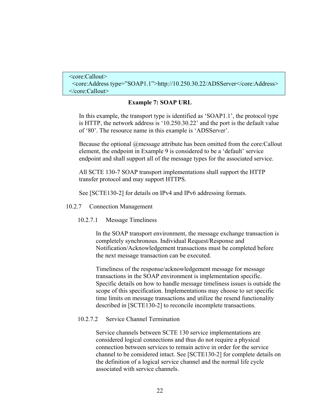```
 <core:Callout> 
  <core:Address type="SOAP1.1">http://10.250.30.22/ADSServer</core:Address> 
 </core:Callout>
```
#### **Example 7: SOAP URL**

In this example, the transport type is identified as 'SOAP1.1', the protocol type is HTTP, the network address is '10.250.30.22' and the port is the default value of '80'. The resource name in this example is 'ADSServer'.

Because the optional @message attribute has been omitted from the core:Callout element, the endpoint in Example 9 is considered to be a 'default' service endpoint and shall support all of the message types for the associated service.

All SCTE 130-7 SOAP transport implementations shall support the HTTP transfer protocol and may support HTTPS.

See [SCTE130-2] for details on IPv4 and IPv6 addressing formats.

#### 10.2.7 Connection Management

10.2.7.1 Message Timeliness

In the SOAP transport environment, the message exchange transaction is completely synchronous. Individual Request/Response and Notification/Acknowledgement transactions must be completed before the next message transaction can be executed.

Timeliness of the response/acknowledgement message for message transactions in the SOAP environment is implementation specific. Specific details on how to handle message timeliness issues is outside the scope of this specification. Implementations may choose to set specific time limits on message transactions and utilize the resend functionality described in [SCTE130-2] to reconcile incomplete transactions.

## 10.2.7.2 Service Channel Termination

Service channels between SCTE 130 service implementations are considered logical connections and thus do not require a physical connection between services to remain active in order for the service channel to be considered intact. See [SCTE130-2] for complete details on the definition of a logical service channel and the normal life cycle associated with service channels.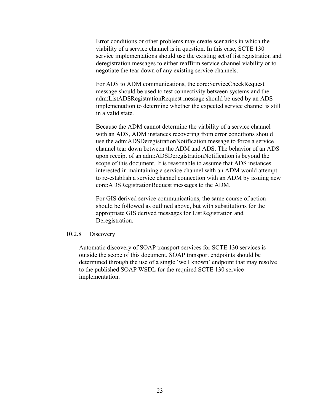Error conditions or other problems may create scenarios in which the viability of a service channel is in question. In this case, SCTE 130 service implementations should use the existing set of list registration and deregistration messages to either reaffirm service channel viability or to negotiate the tear down of any existing service channels.

For ADS to ADM communications, the core:ServiceCheckRequest message should be used to test connectivity between systems and the adm:ListADSRegistrationRequest message should be used by an ADS implementation to determine whether the expected service channel is still in a valid state.

Because the ADM cannot determine the viability of a service channel with an ADS, ADM instances recovering from error conditions should use the adm:ADSDeregistrationNotification message to force a service channel tear down between the ADM and ADS. The behavior of an ADS upon receipt of an adm:ADSDeregistrationNotification is beyond the scope of this document. It is reasonable to assume that ADS instances interested in maintaining a service channel with an ADM would attempt to re-establish a service channel connection with an ADM by issuing new core:ADSRegistrationRequest messages to the ADM.

For GIS derived service communications, the same course of action should be followed as outlined above, but with substitutions for the appropriate GIS derived messages for ListRegistration and Deregistration.

#### 10.2.8 Discovery

Automatic discovery of SOAP transport services for SCTE 130 services is outside the scope of this document. SOAP transport endpoints should be determined through the use of a single 'well known' endpoint that may resolve to the published SOAP WSDL for the required SCTE 130 service implementation.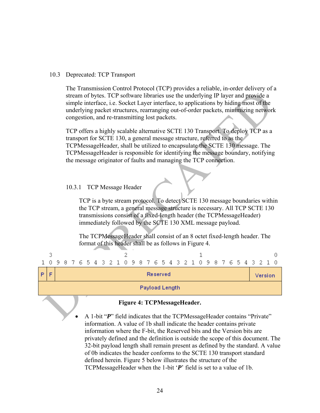#### 10.3 Deprecated: TCP Transport

The Transmission Control Protocol (TCP) provides a reliable, in-order delivery of a stream of bytes. TCP software libraries use the underlying IP layer and provide a simple interface, i.e. Socket Layer interface, to applications by hiding most of the underlying packet structures, rearranging out-of-order packets, minimizing network congestion, and re-transmitting lost packets.

TCP offers a highly scalable alternative SCTE 130 Transport. To deploy TCP as a transport for SCTE 130, a general message structure, referred to as the TCPMessageHeader, shall be utilized to encapsulate the SCTE 130 message. The TCPMessageHeader is responsible for identifying the message boundary, notifying the message originator of faults and managing the TCP connection.

#### 10.3.1 TCP Message Header

TCP is a byte stream protocol. To detect SCTE 130 message boundaries within the TCP stream, a general message structure is necessary. All TCP SCTE 130 transmissions consist of a fixed-length header (the TCPMessageHeader) immediately followed by the SCTE 130 XML message payload.

The TCPMessageHeader shall consist of an 8 octet fixed-length header. The format of this header shall be as follows in Figure 4.

| 1 0 9 8 7 6 5 4 3 2 1 0 9 8 7 6 5 4 3 2 1 0 9 8 7 6 5 4 3 2 1 0 |  |  |  |  |  |  |  |                       |  |  |  |  |  |  |         |  |
|-----------------------------------------------------------------|--|--|--|--|--|--|--|-----------------------|--|--|--|--|--|--|---------|--|
|                                                                 |  |  |  |  |  |  |  | <b>Reserved</b>       |  |  |  |  |  |  | Version |  |
|                                                                 |  |  |  |  |  |  |  | <b>Payload Length</b> |  |  |  |  |  |  |         |  |

#### **Figure 4: TCPMessageHeader.**

 A 1-bit "*P*" field indicates that the TCPMessageHeader contains "Private" information. A value of 1b shall indicate the header contains private information where the F-bit, the Reserved bits and the Version bits are privately defined and the definition is outside the scope of this document. The 32-bit payload length shall remain present as defined by the standard. A value of 0b indicates the header conforms to the SCTE 130 transport standard defined herein. Figure 5 below illustrates the structure of the TCPMessageHeader when the 1-bit '*P*' field is set to a value of 1b.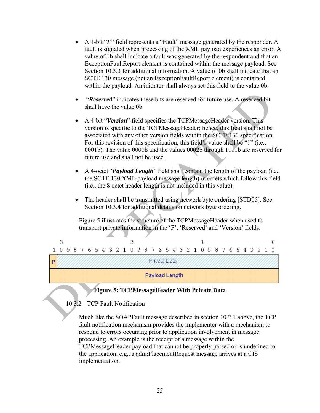- A 1-bit "*F*" field represents a "Fault" message generated by the responder. A fault is signaled when processing of the XML payload experiences an error. A value of 1b shall indicate a fault was generated by the respondent and that an ExceptionFaultReport element is contained within the message payload. See Section 10.3.3 for additional information. A value of 0b shall indicate that an SCTE 130 message (not an ExceptionFaultReport element) is contained within the payload. An initiator shall always set this field to the value 0b.
- "*Reserved*" indicates these bits are reserved for future use. A reserved bit shall have the value 0b.
- A 4-bit "*Version*" field specifies the TCPMessageHeader version. This version is specific to the TCPMessageHeader; hence, this field shall not be associated with any other version fields within the SCTE 130 specification. For this revision of this specification, this field's value shall be "1" (i.e., 0001b). The value 0000b and the values 0002b through 1111b are reserved for future use and shall not be used.
- A 4-octet "*Payload Length*" field shall contain the length of the payload (i.e., the SCTE 130 XML payload message length) in octets which follow this field (i.e., the 8 octet header length is not included in this value).
- The header shall be transmitted using network byte ordering [STD05]. See Section 10.3.4 for additional details on network byte ordering.

Figure 5 illustrates the structure of the TCPMessageHeader when used to transport private information in the 'F', 'Reserved' and 'Version' fields.



## **Figure 5: TCPMessageHeader With Private Data**

## 10.3.2 TCP Fault Notification

Much like the SOAPFault message described in section 10.2.1 above, the TCP fault notification mechanism provides the implementer with a mechanism to respond to errors occurring prior to application involvement in message processing. An example is the receipt of a message within the TCPMessageHeader payload that cannot be properly parsed or is undefined to the application. e.g., a adm:PlacementRequest message arrives at a CIS implementation.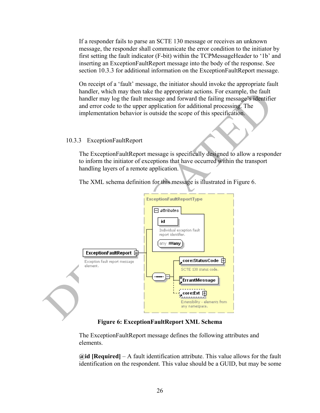If a responder fails to parse an SCTE 130 message or receives an unknown message, the responder shall communicate the error condition to the initiator by first setting the fault indicator (F-bit) within the TCPMessageHeader to '1b' and inserting an ExceptionFaultReport message into the body of the response. See section 10.3.3 for additional information on the ExceptionFaultReport message.

On receipt of a 'fault' message, the initiator should invoke the appropriate fault handler, which may then take the appropriate actions. For example, the fault handler may log the fault message and forward the failing message's identifier and error code to the upper application for additional processing. The implementation behavior is outside the scope of this specification.

#### 10.3.3 ExceptionFaultReport

The ExceptionFaultReport message is specifically designed to allow a responder to inform the initiator of exceptions that have occurred within the transport handling layers of a remote application.

The XML schema definition for this message is illustrated in Figure 6.



#### **Figure 6: ExceptionFaultReport XML Schema**

The ExceptionFaultReport message defines the following attributes and elements.

**@id [Required]** – A fault identification attribute. This value allows for the fault identification on the respondent. This value should be a GUID, but may be some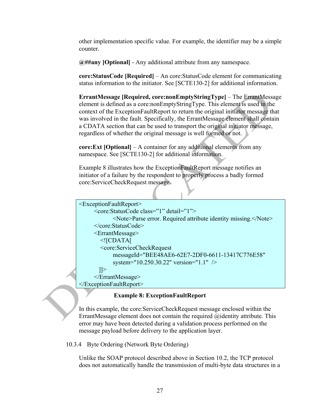other implementation specific value. For example, the identifier may be a simple counter.

**@##any [Optional]** - Any additional attribute from any namespace.

**core:StatusCode [Required]** – An core:StatusCode element for communicating status information to the initiator. See [SCTE130-2] for additional information.

**ErrantMessage [Required, core:nonEmptyStringType]** – The ErrantMessage element is defined as a core:nonEmptyStringType. This element is used in the context of the ExceptionFaultReport to return the original initiator message that was involved in the fault. Specifically, the ErrantMessage element shall contain a CDATA section that can be used to transport the original initiator message, regardless of whether the original message is well formed or not.

**core:Ext [Optional]** – A container for any additional elements from any namespace. See [SCTE130-2] for additional information.

Example 8 illustrates how the ExceptionFaultReport message notifies an initiator of a failure by the respondent to properly process a badly formed core:ServiceCheckRequest message.

```
<ExceptionFaultReport> 
      <core:StatusCode class="1" detail="1"> 
             <Note>Parse error. Required attribute identity missing.</Note> 
      </core:StatusCode> 
      <ErrantMessage> 
         <![CDATA[ 
         <core:ServiceCheckRequest 
             messageId="BEE48AE6-62E7-2DF0-6611-13417C776E58" 
             system="10.250.30.22" version="1.1" /> 
       ] </ErrantMessage> 
</ExceptionFaultReport>
```
## **Example 8: ExceptionFaultReport**

In this example, the core:ServiceCheckRequest message enclosed within the ErrantMessage element does not contain the required @identity attribute. This error may have been detected during a validation process performed on the message payload before delivery to the application layer.

10.3.4 Byte Ordering (Network Byte Ordering)

Unlike the SOAP protocol described above in Section 10.2, the TCP protocol does not automatically handle the transmission of multi-byte data structures in a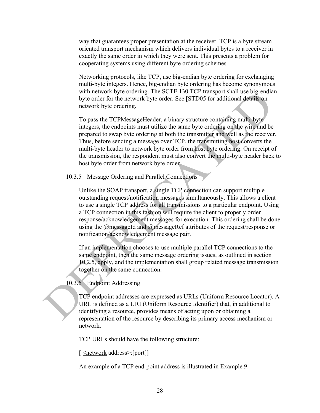way that guarantees proper presentation at the receiver. TCP is a byte stream oriented transport mechanism which delivers individual bytes to a receiver in exactly the same order in which they were sent. This presents a problem for cooperating systems using different byte ordering schemes.

Networking protocols, like TCP, use big-endian byte ordering for exchanging multi-byte integers. Hence, big-endian byte ordering has become synonymous with network byte ordering. The SCTE 130 TCP transport shall use big-endian byte order for the network byte order. See [STD05 for additional details on network byte ordering.

To pass the TCPMessageHeader, a binary structure containing multi-byte integers, the endpoints must utilize the same byte ordering on the wire and be prepared to swap byte ordering at both the transmitter and well as the receiver. Thus, before sending a message over TCP, the transmitting host converts the multi-byte header to network byte order from host byte ordering. On receipt of the transmission, the respondent must also convert the multi-byte header back to host byte order from network byte order.

10.3.5 Message Ordering and Parallel Connections

Unlike the SOAP transport, a single TCP connection can support multiple outstanding request/notification messages simultaneously. This allows a client to use a single TCP address for all transmissions to a particular endpoint. Using a TCP connection in this fashion will require the client to properly order response/acknowledgement messages for execution. This ordering shall be done using the @messageId and @messageRef attributes of the request/response or notification/acknowledgement message pair.

If an implementation chooses to use multiple parallel TCP connections to the same endpoint, then the same message ordering issues, as outlined in section 10.2.5, apply, and the implementation shall group related message transmission together on the same connection.

10.3.6 Endpoint Addressing

TCP endpoint addresses are expressed as URLs (Uniform Resource Locator). A URL is defined as a URI (Uniform Resource Identifier) that, in additional to identifying a resource, provides means of acting upon or obtaining a representation of the resource by describing its primary access mechanism or network.

TCP URLs should have the following structure:

[ <network address>:[port]]

An example of a TCP end-point address is illustrated in Example 9.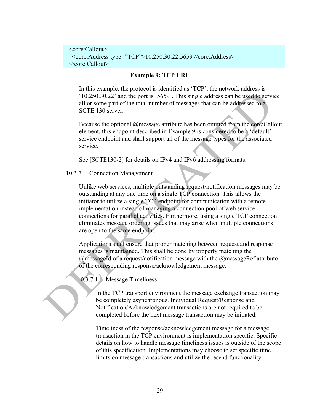```
 <core:Callout> 
  <core:Address type="TCP">10.250.30.22:5659</core:Address> 
 </core:Callout>
```
#### **Example 9: TCP URL**

In this example, the protocol is identified as 'TCP', the network address is '10.250.30.22' and the port is '5659'. This single address can be used to service all or some part of the total number of messages that can be addressed to a SCTE 130 server.

Because the optional @message attribute has been omitted from the core:Callout element, this endpoint described in Example 9 is considered to be a 'default' service endpoint and shall support all of the message types for the associated service.

See [SCTE130-2] for details on IPv4 and IPv6 addressing formats.

10.3.7 Connection Management

Unlike web services, multiple outstanding request/notification messages may be outstanding at any one time on a single TCP connection. This allows the initiator to utilize a single TCP endpoint for communication with a remote implementation instead of managing a connection pool of web service connections for parallel activities. Furthermore, using a single TCP connection eliminates message ordering issues that may arise when multiple connections are open to the same endpoint.

Applications shall ensure that proper matching between request and response messages is maintained. This shall be done by properly matching the @messageId of a request/notification message with the @messageRef attribute of the corresponding response/acknowledgement message.

10.3.7.1 Message Timeliness

In the TCP transport environment the message exchange transaction may be completely asynchronous. Individual Request/Response and Notification/Acknowledgement transactions are not required to be completed before the next message transaction may be initiated.

Timeliness of the response/acknowledgement message for a message transaction in the TCP environment is implementation specific. Specific details on how to handle message timeliness issues is outside of the scope of this specification. Implementations may choose to set specific time limits on message transactions and utilize the resend functionality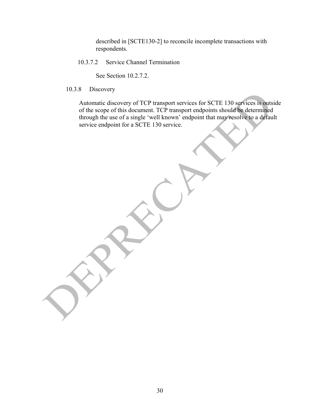described in [SCTE130-2] to reconcile incomplete transactions with respondents.

10.3.7.2 Service Channel Termination

See Section 10.2.7.2.

10.3.8 Discovery

Automatic discovery of TCP transport services for SCTE 130 services is outside of the scope of this document. TCP transport endpoints should be determined through the use of a single 'well known' endpoint that may resolve to a default service endpoint for a SCTE 130 service.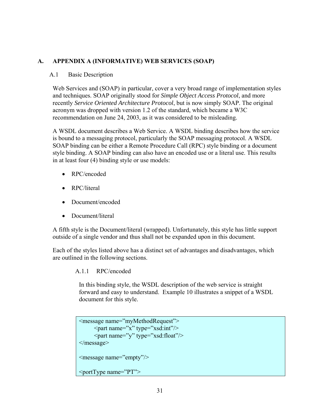## **A. APPENDIX A (INFORMATIVE) WEB SERVICES (SOAP)**

## A.1 Basic Description

Web Services and (SOAP) in particular, cover a very broad range of implementation styles and techniques. SOAP originally stood for *Simple Object Access Protocol*, and more recently *Service Oriented Architecture Protocol*, but is now simply SOAP. The original acronym was dropped with version 1.2 of the standard, which became a W3C recommendation on June 24, 2003, as it was considered to be misleading.

A WSDL document describes a Web Service. A WSDL binding describes how the service is bound to a messaging protocol, particularly the SOAP messaging protocol. A WSDL SOAP binding can be either a Remote Procedure Call (RPC) style binding or a document style binding. A SOAP binding can also have an encoded use or a literal use. This results in at least four (4) binding style or use models:

- RPC/encoded
- RPC/literal
- Document/encoded
- Document/literal

A fifth style is the Document/literal (wrapped). Unfortunately, this style has little support outside of a single vendor and thus shall not be expanded upon in this document.

Each of the styles listed above has a distinct set of advantages and disadvantages, which are outlined in the following sections.

A.1.1 RPC/encoded

In this binding style, the WSDL description of the web service is straight forward and easy to understand. Example 10 illustrates a snippet of a WSDL document for this style.

```
<message name="myMethodRequest"> 
      \epsilon <part name="x" type="xsd:int" \epsilon <part name="y" type="xsd:float"/> 
</message> 
<message name="empty"/> 
\leqportType name="PT">
```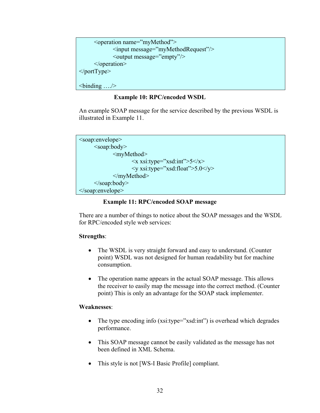```
 <operation name="myMethod"> 
             <input message="myMethodRequest"/> 
             <output message="empty"/> 
      </operation> 
</portType>
```
<binding …./>

## **Example 10: RPC/encoded WSDL**

An example SOAP message for the service described by the previous WSDL is illustrated in Example 11.

```
<soap:envelope> 
        <soap:body> 
                  <myMethod> 
                           \langle x \rangle xsi:type="xsd:int">5\langle x \rangle\langle y \rangle xsi:type="xsd:float">5.0\langle y \rangle </myMethod> 
        </soap:body> 
</soap:envelope>
```
## **Example 11: RPC/encoded SOAP message**

There are a number of things to notice about the SOAP messages and the WSDL for RPC/encoded style web services:

## **Strengths**:

- The WSDL is very straight forward and easy to understand. (Counter point) WSDL was not designed for human readability but for machine consumption.
- The operation name appears in the actual SOAP message. This allows the receiver to easily map the message into the correct method. (Counter point) This is only an advantage for the SOAP stack implementer.

## **Weaknesses**:

- The type encoding info (xsi:type="xsd:int") is overhead which degrades performance.
- This SOAP message cannot be easily validated as the message has not been defined in XML Schema.
- This style is not [WS-I Basic Profile] compliant.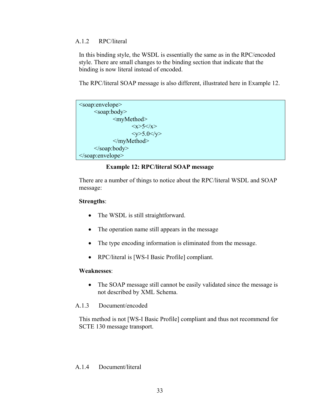## A.1.2 RPC/literal

In this binding style, the WSDL is essentially the same as in the RPC/encoded style. There are small changes to the binding section that indicate that the binding is now literal instead of encoded.

The RPC/literal SOAP message is also different, illustrated here in Example 12.

```
<soap:envelope> 
      <soap:body> 
              <myMethod> 
                    < x > 5 < /x ><y>5.0</y>
              </myMethod> 
      </soap:body> 
</soap:envelope>
```
## **Example 12: RPC/literal SOAP message**

There are a number of things to notice about the RPC/literal WSDL and SOAP message:

## **Strengths**:

- The WSDL is still straightforward.
- The operation name still appears in the message
- The type encoding information is eliminated from the message.
- RPC/literal is [WS-I Basic Profile] compliant.

## **Weaknesses**:

• The SOAP message still cannot be easily validated since the message is not described by XML Schema.

## A.1.3 Document/encoded

This method is not [WS-I Basic Profile] compliant and thus not recommend for SCTE 130 message transport.

## A.1.4 Document/literal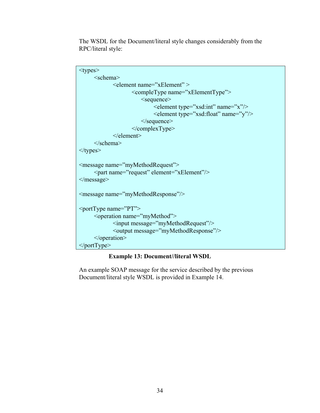The WSDL for the Document/literal style changes considerably from the RPC/literal style:

| <types></types>                                                                                                                  |
|----------------------------------------------------------------------------------------------------------------------------------|
| <schema></schema>                                                                                                                |
| <element name="xElement"></element>                                                                                              |
| <completype name="xElementType"></completype>                                                                                    |
| $\leq$ sequence $\geq$                                                                                                           |
| <element name="x" type="xsd:int"></element>                                                                                      |
| <element name="y" type="xsd:float"></element>                                                                                    |
| $\le$ /sequence>                                                                                                                 |
| $<$ /complexType>                                                                                                                |
| $\le$ /element>                                                                                                                  |
| $\le$ /schema>                                                                                                                   |
| $\langle$ types>                                                                                                                 |
| <message name="myMethodRequest"><br/><part element="xElement" name="request"></part><br/><math>&lt;</math>/message&gt;</message> |
| <message name="myMethodResponse"></message>                                                                                      |
| <porttype name="PT"></porttype>                                                                                                  |
| <operation name="myMethod"></operation>                                                                                          |
| <input message="myMethodRequest"/>                                                                                               |
| <output message="myMethodResponse"></output>                                                                                     |
| $<$ /operation>                                                                                                                  |
| $\langle$ portType>                                                                                                              |

## **Example 13: Document//literal WSDL**

An example SOAP message for the service described by the previous Document/literal style WSDL is provided in Example 14.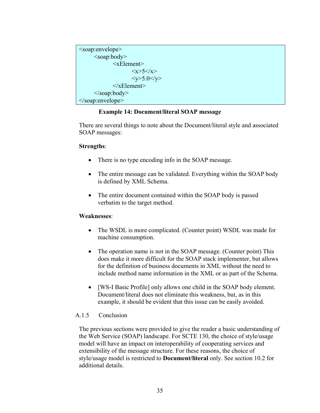```
<soap:envelope> 
        <soap:body> 
                \leqxElement>\langle x \rangle 5 \langle x \rangle<y>5.0</y>
                \le/xElement> </soap:body> 
</soap:envelope>
```
## **Example 14: Document/literal SOAP message**

There are several things to note about the Document/literal style and associated SOAP messages:

#### **Strengths**:

- There is no type encoding info in the SOAP message.
- The entire message can be validated. Everything within the SOAP body is defined by XML Schema.
- The entire document contained within the SOAP body is passed verbatim to the target method.

#### **Weaknesses**:

- The WSDL is more complicated. (Counter point) WSDL was made for machine consumption.
- The operation name is not in the SOAP message. (Counter point) This does make it more difficult for the SOAP stack implementer, but allows for the definition of business documents in XML without the need to include method name information in the XML or as part of the Schema.
- [WS-I Basic Profile] only allows one child in the SOAP body element. Document/literal does not eliminate this weakness, but, as in this example, it should be evident that this issue can be easily avoided.

## A.1.5 Conclusion

The previous sections were provided to give the reader a basic understanding of the Web Service (SOAP) landscape. For SCTE 130, the choice of style/usage model will have an impact on interoperability of cooperating services and extensibility of the message structure. For these reasons, the choice of style/usage model is restricted to **Document/literal** only. See section 10.2 for additional details.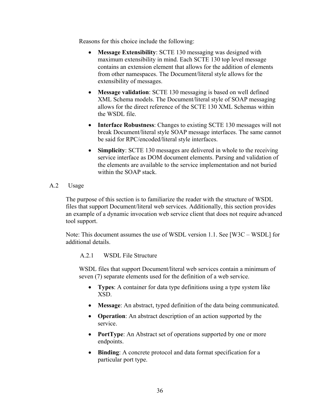Reasons for this choice include the following:

- **Message Extensibility**: SCTE 130 messaging was designed with maximum extensibility in mind. Each SCTE 130 top level message contains an extension element that allows for the addition of elements from other namespaces. The Document/literal style allows for the extensibility of messages.
- **Message validation**: SCTE 130 messaging is based on well defined XML Schema models. The Document/literal style of SOAP messaging allows for the direct reference of the SCTE 130 XML Schemas within the WSDL file.
- **Interface Robustness**: Changes to existing SCTE 130 messages will not break Document/literal style SOAP message interfaces. The same cannot be said for RPC/encoded/literal style interfaces.
- **Simplicity**: SCTE 130 messages are delivered in whole to the receiving service interface as DOM document elements. Parsing and validation of the elements are available to the service implementation and not buried within the SOAP stack.
- A.2 Usage

The purpose of this section is to familiarize the reader with the structure of WSDL files that support Document/literal web services. Additionally, this section provides an example of a dynamic invocation web service client that does not require advanced tool support.

Note: This document assumes the use of WSDL version 1.1. See [W3C – WSDL] for additional details.

A.2.1 WSDL File Structure

WSDL files that support Document/literal web services contain a minimum of seven (7) separate elements used for the definition of a web service.

- **Types**: A container for data type definitions using a type system like XSD.
- **Message**: An abstract, typed definition of the data being communicated.
- **Operation**: An abstract description of an action supported by the service.
- **PortType**: An Abstract set of operations supported by one or more endpoints.
- **Binding**: A concrete protocol and data format specification for a particular port type.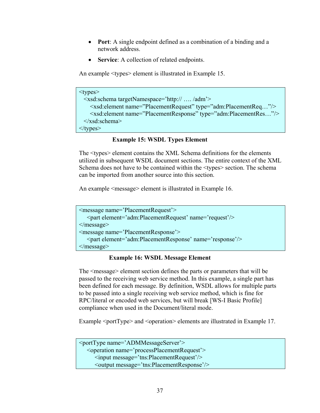- **Port**: A single endpoint defined as a combination of a binding and a network address.
- **Service**: A collection of related endpoints.

An example <types> element is illustrated in Example 15.

```
<types> 
  <xsd:schema targetNamespace='http:// …. /adm'> 
     <xsd:element name="PlacementRequest" type="adm:PlacementReq…"/> 
     <xsd:element name="PlacementResponse" type="adm:PlacementRes…"/> 
  </xsd:schema> 
\langletypes>
```
## **Example 15: WSDL Types Element**

The <types> element contains the XML Schema definitions for the elements utilized in subsequent WSDL document sections. The entire context of the XML Schema does not have to be contained within the <types> section. The schema can be imported from another source into this section.

An example <message> element is illustrated in Example 16.

```
<message name='PlacementRequest'> 
   <part element='adm:PlacementRequest' name='request'/> 
</message> 
<message name='PlacementResponse'> 
    <part element='adm:PlacementResponse' name='response'/> 
</message>
```
## **Example 16: WSDL Message Element**

The <message> element section defines the parts or parameters that will be passed to the receiving web service method. In this example, a single part has been defined for each message. By definition, WSDL allows for multiple parts to be passed into a single receiving web service method, which is fine for RPC/literal or encoded web services, but will break [WS-I Basic Profile] compliance when used in the Document/literal mode.

Example <portType> and <operation> elements are illustrated in Example 17.

```
<portType name='ADMMessageServer'> 
   <operation name='processPlacementRequest'> 
      <input message='tns:PlacementRequest'/> 
      <output message='tns:PlacementResponse'/>
```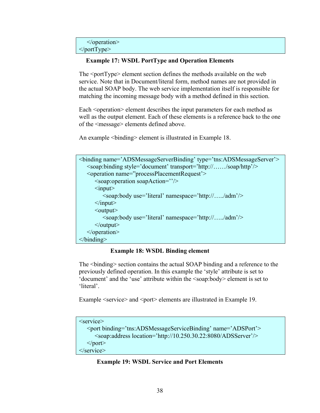```
 </operation> 
</portType>
```
#### **Example 17: WSDL PortType and Operation Elements**

The <portType> element section defines the methods available on the web service. Note that in Document/literal form, method names are not provided in the actual SOAP body. The web service implementation itself is responsible for matching the incoming message body with a method defined in this section.

Each <operation> element describes the input parameters for each method as well as the output element. Each of these elements is a reference back to the one of the <message> elements defined above.

An example <binding> element is illustrated in Example 18.

| <binding name="ADSMessageServerBinding" type="tns:ADSMessageServer"></binding> |
|--------------------------------------------------------------------------------|
| <soap:binding style="document" transport="http:///soap/http"></soap:binding>   |
| <operation name="processPlacementRequest"></operation>                         |
| $\leq$ soap:operation soapAction="/>                                           |
| $\langle$ input $\rangle$                                                      |
| <soap:body namespace="http:///adm" use="literal"></soap:body>                  |
| $\langle \rangle$ input $\langle \rangle$                                      |
| $\leq$ output $\geq$                                                           |
| <soap:body namespace="http:///adm" use="literal"></soap:body>                  |
| $\langle$ output $\rangle$                                                     |
| $<$ /operation>                                                                |
| $<$ /binding>                                                                  |

#### **Example 18: WSDL Binding element**

The <br/>binding> section contains the actual SOAP binding and a reference to the previously defined operation. In this example the 'style' attribute is set to 'document' and the 'use' attribute within the <soap:body> element is set to 'literal'.

Example <service> and <port> elements are illustrated in Example 19.

```
<service> 
   <port binding='tns:ADSMessageServiceBinding' name='ADSPort'> 
       <soap:address location='http://10.250.30.22:8080/ADSServer'/> 
  </port></service>
```
#### **Example 19: WSDL Service and Port Elements**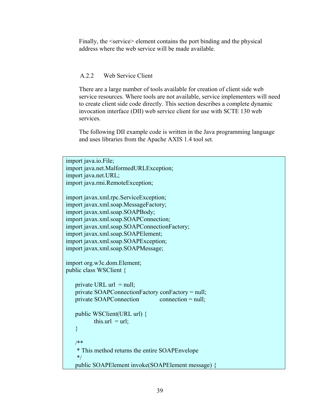Finally, the <service> element contains the port binding and the physical address where the web service will be made available.

## A.2.2 Web Service Client

There are a large number of tools available for creation of client side web service resources. Where tools are not available, service implementers will need to create client side code directly. This section describes a complete dynamic invocation interface (DII) web service client for use with SCTE 130 web services.

The following DII example code is written in the Java programming language and uses libraries from the Apache AXIS 1.4 tool set.

```
import java.io.File; 
import java.net.MalformedURLException; 
import java.net.URL; 
import java.rmi.RemoteException; 
import javax.xml.rpc.ServiceException; 
import javax.xml.soap.MessageFactory; 
import javax.xml.soap.SOAPBody; 
import javax.xml.soap.SOAPConnection; 
import javax.xml.soap.SOAPConnectionFactory; 
import javax.xml.soap.SOAPElement; 
import javax.xml.soap.SOAPException; 
import javax.xml.soap.SOAPMessage; 
import org.w3c.dom.Element; 
public class WSClient { 
   private URL url = null;
    private SOAPConnectionFactory conFactory = null; 
   private SOAPConnection connection = null;
    public WSClient(URL url) { 
          this.url = url;
    } 
    /** 
     * This method returns the entire SOAPEnvelope 
     */ 
    public SOAPElement invoke(SOAPElement message) {
```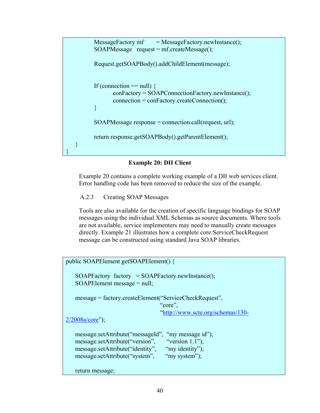```
MessageFactory mf = MessageFactory.newInstance(); SOAPMessage request = mf.createMessage(); 
           Request.getSOAPBody().addChildElement(message); 
          If (connection == null) {
                  conFactory = SOAPConnectionFactory.newInstance(); 
                  connection = conFactory.createConnection(); 
           } 
           SOAPMessage response = connection.call(request, url); 
           return response.getSOAPBody().getParentElement(); 
    } 
}
```
**Example 20: DII Client** 

Example 20 contains a complete working example of a DII web services client. Error handling code has been removed to reduce the size of the example.

A.2.3 Creating SOAP Messages

Tools are also available for the creation of specific language bindings for SOAP messages using the individual XML Schemas as source documents. Where tools are not available, service implementers may need to manually create messages directly. Example 21 illustrates how a complete core:ServiceCheckRequest message can be constructed using standard Java SOAP libraries.

```
public SOAPElement getSOAPElement() { 
   SOAPFactory factory = SOAPFactory.newInstance;
    SOAPElement message = null; 
    message = factory.createElement("ServiceCheckRequest", 
                                    "core", 
                                    "http://www.scte.org/schemas/130-
2/2008a/core"); 
   message.setAttribute("messageId", "my message id");
   message.setAttribute("version", "version 1.1");
   message.setAttribute("identity", "my identity");
   message.setAttribute("system", "my system");
    return message;
```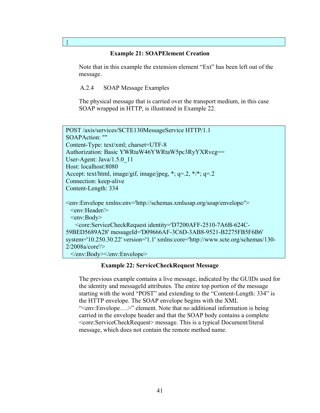#### **Example 21: SOAPElement Creation**

Note that in this example the extension element "Ext" has been left out of the message.

A.2.4 SOAP Message Examples

}

The physical message that is carried over the transport medium, in this case SOAP wrapped in HTTP, is illustrated in Example 22.

| POST/axis/services/SCTE130MessageService HTTP/1.1                                                                                                                                                           |
|-------------------------------------------------------------------------------------------------------------------------------------------------------------------------------------------------------------|
| SOAPAction: ""                                                                                                                                                                                              |
| Content-Type: text/xml; charset=UTF-8                                                                                                                                                                       |
| Authorization: Basic YWRtaW46YWRtaW5pc3RyYXRvcg==                                                                                                                                                           |
| User-Agent: $Java/1.5.0$ 11                                                                                                                                                                                 |
| Host: localhost:8080                                                                                                                                                                                        |
| Accept: text/html, image/gif, image/jpeg, *; $q=2$ , */*; $q=2$ .                                                                                                                                           |
| Connection: keep-alive                                                                                                                                                                                      |
| Content-Length: 334                                                                                                                                                                                         |
| <env:envelope xmlns:env="http://schemas.xmlsoap.org/soap/envelope/"><br/><math>\le</math>env:Header<math>\ge</math></env:envelope>                                                                          |
| $\langle env:Body \rangle$                                                                                                                                                                                  |
| <core:servicecheckrequest <="" identity="D7200AFF-2510-7A6B-624C-&lt;/td&gt;&lt;/tr&gt;&lt;tr&gt;&lt;td&gt;59BED5689A28" messageid="D09666AF-3C6D-3AB8-9521-B2275FB5F6B6" td=""></core:servicecheckrequest> |
|                                                                                                                                                                                                             |
| system='10.250.30.22' version='1.1' xmlns:core='http://www.scte.org/schemas/130-                                                                                                                            |
| 2/2008a/core'                                                                                                                                                                                               |

#### **Example 22: ServiceCheckRequest Message**

The previous example contains a live message, indicated by the GUIDs used for the identity and messageId attributes. The entire top portion of the message starting with the word "POST" and extending to the "Content-Length: 334" is the HTTP envelope. The SOAP envelope begins with the XML "<env:Envelope….>" element. Note that no additional information is being carried in the envelope header and that the SOAP body contains a complete <core:ServiceCheckRequest> message. This is a typical Document/literal message, which does not contain the remote method name.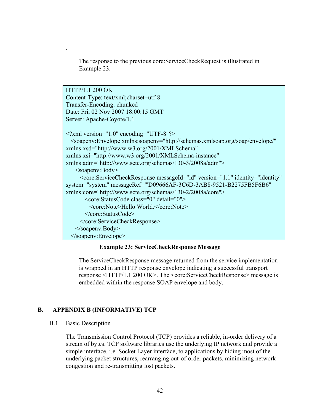The response to the previous core:ServiceCheckRequest is illustrated in Example 23.

HTTP/1.1 200 OK Content-Type: text/xml;charset=utf-8 Transfer-Encoding: chunked Date: Fri, 02 Nov 2007 18:00:15 GMT Server: Apache-Coyote/1.1 <?xml version="1.0" encoding="UTF-8"?> <soapenv:Envelope xmlns:soapenv="http://schemas.xmlsoap.org/soap/envelope/" xmlns:xsd="http://www.w3.org/2001/XMLSchema" xmlns:xsi="http://www.w3.org/2001/XMLSchema-instance" xmlns:adm="http://www.scte.org/schemas/130-3/2008a/adm"> <soapenv:Body> <core:ServiceCheckResponse messageId="id" version="1.1" identity="identity" system="system" messageRef="'D09666AF-3C6D-3AB8-9521-B2275FB5F6B6" xmlns:core="http://www.scte.org/schemas/130-2/2008a/core"> <core:StatusCode class="0" detail="0"> <core:Note>Hello World.</core:Note> </core:StatusCode> </core:ServiceCheckResponse> </soapenv:Body> </soapenv:Envelope>

#### **Example 23: ServiceCheckResponse Message**

The ServiceCheckResponse message returned from the service implementation is wrapped in an HTTP response envelope indicating a successful transport response <HTTP/1.1 200 OK>. The <core:ServiceCheckResponse> message is embedded within the response SOAP envelope and body.

#### **B. APPENDIX B (INFORMATIVE) TCP**

#### B.1 Basic Description

.

The Transmission Control Protocol (TCP) provides a reliable, in-order delivery of a stream of bytes. TCP software libraries use the underlying IP network and provide a simple interface, i.e. Socket Layer interface, to applications by hiding most of the underlying packet structures, rearranging out-of-order packets, minimizing network congestion and re-transmitting lost packets.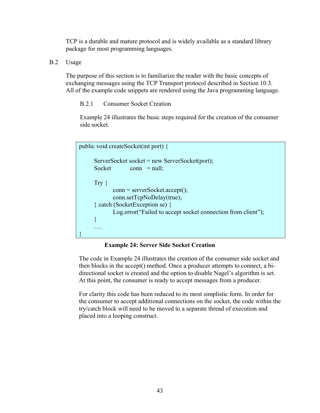TCP is a durable and mature protocol and is widely available as a standard library package for most programming languages.

B.2 Usage

The purpose of this section is to familiarize the reader with the basic concepts of exchanging messages using the TCP Transport protocol described in Section 10.3. All of the example code snippets are rendered using the Java programming language.

B.2.1 Consumer Socket Creation

Example 24 illustrates the basic steps required for the creation of the consumer side socket.

```
public void createSocket(int port) { 
       ServerSocket socket = new ServerSocket(port); 
      Socket conn = null:
       Try { 
              conn = serverSocket.accept(); 
              conn.setTcpNoDelay(true); 
       } catch (SocketException se) { 
              Log.error("Failed to accept socket connection from client"); 
       } 
       …. 
}
```
## **Example 24: Server Side Socket Creation**

The code in Example 24 illustrates the creation of the consumer side socket and then blocks in the accept() method. Once a producer attempts to connect, a bidirectional socket is created and the option to disable Nagel's algorithm is set. At this point, the consumer is ready to accept messages from a producer.

For clarity this code has been reduced to its most simplistic form. In order for the consumer to accept additional connections on the socket, the code within the try/catch block will need to be moved to a separate thread of execution and placed into a looping construct.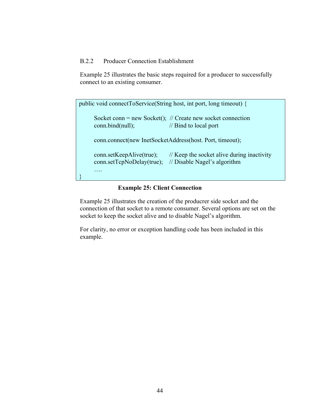## B.2.2 Producer Connection Establishment

Example 25 illustrates the basic steps required for a producer to successfully connect to an existing consumer.

| public void connect ToService (String host, int port, long timeout) { |                                                                                                   |
|-----------------------------------------------------------------------|---------------------------------------------------------------------------------------------------|
| conn.bind(null);                                                      | Socket conn = new Socket(); $\#$ Create new socket connection<br>$\frac{1}{2}$ Bind to local port |
|                                                                       | conn.connect(new InetSocketAddress(host. Port, timeout);                                          |
| conn.setKeepAlive(true);<br>conn.setTcpNoDelay(true);                 | // Keep the socket alive during inactivity<br>// Disable Nagel's algorithm                        |
|                                                                       |                                                                                                   |

## **Example 25: Client Connection**

Example 25 illustrates the creation of the producrer side socket and the connection of that socket to a remote consumer. Several options are set on the socket to keep the socket alive and to disable Nagel's algorithm.

For clarity, no error or exception handling code has been included in this example.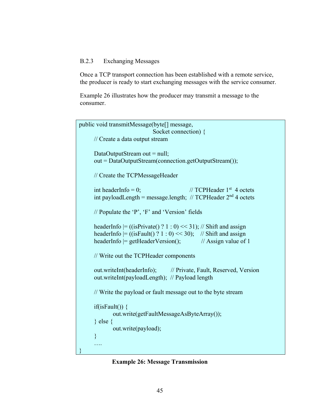## B.2.3 Exchanging Messages

Once a TCP transport connection has been established with a remote service, the producer is ready to start exchanging messages with the service consumer.

Example 26 illustrates how the producer may transmit a message to the consumer.

```
public void transmitMessage(byte[] message, 
                               Socket connection) { 
       // Create a data output stream 
      DataOutputStream out = null;
       out = DataOutputStream(connection.getOutputStream()); 
       // Create the TCPMessageHeader 
      int headerInfo = 0; \angle // TCPHeader 1<sup>st</sup> 4 octets
      int payloadLength = message.length; \frac{1}{2} TCPHeader 2<sup>nd</sup> 4 octets
       // Populate the 'P', 'F' and 'Version' fields 
      headerInfo = ((isPrivate() ? 1 : 0) \ll 31); // Shift and assignheaderInfo |=( (isFault() ? 1 : 0) << 30); // Shift and assign
      headerInfo = getHeaderVersion(); \frac{1}{2} Assign value of 1
       // Write out the TCPHeader components 
       out.writeInt(headerInfo); // Private, Fault, Reserved, Version 
       out.writeInt(payloadLength); // Payload length 
       // Write the payload or fault message out to the byte stream 
      if(isFault()) \{ out.write(getFaultMessageAsByteArray()); 
       } else { 
              out.write(payload); 
       } 
       …. 
}
```
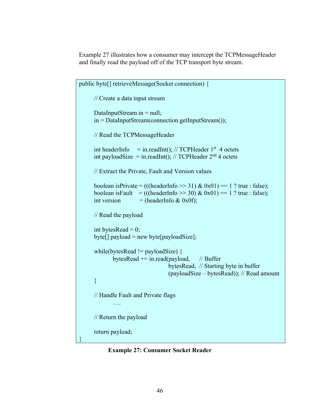Example 27 illustrates how a consumer may intercept the TCPMessageHeader and finally read the payload off of the TCP transport byte stream.

```
public byte[] retrieveMessage(Socket connection) { 
       // Create a data input stream 
      DataInputStream in = null;
       in = DataInputStream(connection.getInputStream()); 
       // Read the TCPMessageHeader 
      int headerInfo = in.readInt(); // TCPHeader 1<sup>st</sup> 4 octets
      int payloadSize = in.readInt(); // TCPHeader 2<sup>nd</sup> 4 octets
       // Extract the Private, Fault and Version values 
      boolean isPrivate = (((headerInfo >> 31) & 0x01) == 1 ? true : false);
      boolean isFault = (((\text{headerInfo} \gg 30) \& 0x01) == 1 ? \text{ true} : \text{false});int version = (headerInfo & 0x0f);
       // Read the payload 
      int bytesRead = 0;
      byte[] payload = new byte[payloadSize];
       while(bytesRead != payloadSize) { 
              bytesRead += in.read(payload, // Buffer
                                      bytesRead, // Starting byte in buffer 
                                      (payloadSize – bytesRead)); // Read amount 
       } 
       // Handle Fault and Private flags 
               …. 
       // Return the payload 
       return payload; 
}
```
**Example 27: Consumer Socket Reader**